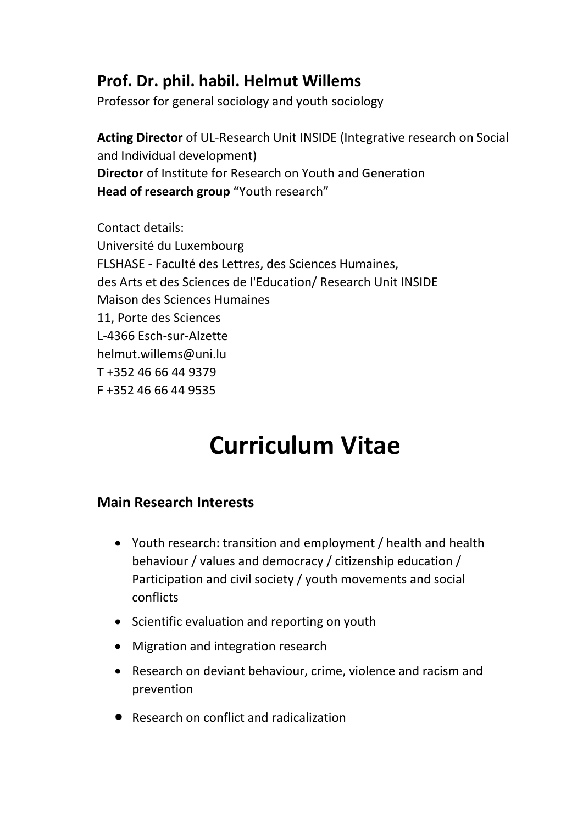## **Prof. Dr. phil. habil. Helmut Willems**

Professor for general sociology and youth sociology

**Acting Director** of UL-Research Unit INSIDE (Integrative research on Social and Individual development) **Director** of Institute for Research on Youth and Generation **Head of research group** "Youth research"

Contact details: Université du Luxembourg FLSHASE - Faculté des Lettres, des Sciences Humaines, des Arts et des Sciences de l'Education/ Research Unit INSIDE Maison des Sciences Humaines 11, Porte des Sciences L-4366 Esch-sur-Alzette helmut.willems@uni.lu T +352 46 66 44 9379 F +352 46 66 44 9535

# **Curriculum Vitae**

#### **Main Research Interests**

- Youth research: transition and employment / health and health behaviour / values and democracy / citizenship education / Participation and civil society / youth movements and social conflicts
- Scientific evaluation and reporting on youth
- Migration and integration research
- Research on deviant behaviour, crime, violence and racism and prevention
- Research on conflict and radicalization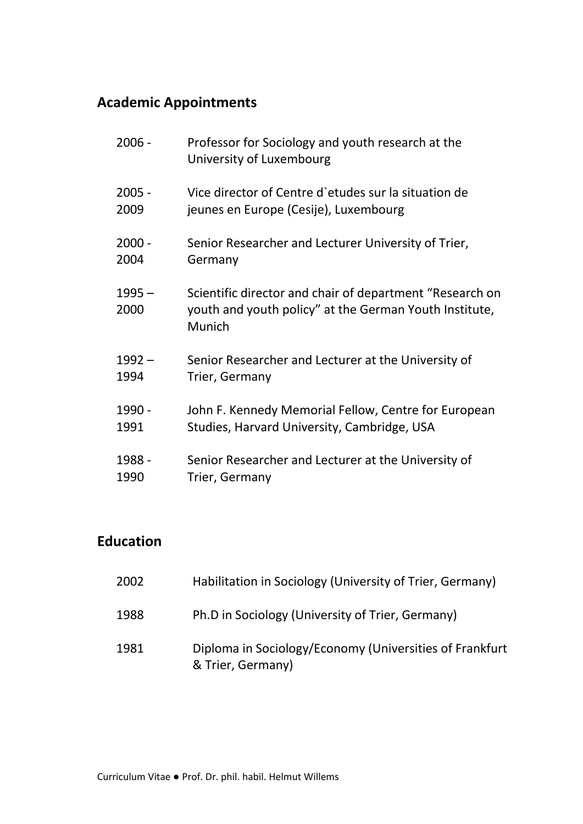## **Academic Appointments**

| $2006 -$         | Professor for Sociology and youth research at the<br>University of Luxembourg                                                |
|------------------|------------------------------------------------------------------------------------------------------------------------------|
| $2005 -$         | Vice director of Centre d'etudes sur la situation de                                                                         |
| 2009             | jeunes en Europe (Cesije), Luxembourg                                                                                        |
| $2000 -$         | Senior Researcher and Lecturer University of Trier,                                                                          |
| 2004             | Germany                                                                                                                      |
| $1995 -$<br>2000 | Scientific director and chair of department "Research on<br>youth and youth policy" at the German Youth Institute,<br>Munich |
| $1992 -$         | Senior Researcher and Lecturer at the University of                                                                          |
| 1994             | Trier, Germany                                                                                                               |
| 1990 -           | John F. Kennedy Memorial Fellow, Centre for European                                                                         |
| 1991             | Studies, Harvard University, Cambridge, USA                                                                                  |
| 1988 -           | Senior Researcher and Lecturer at the University of                                                                          |
| 1990             | Trier, Germany                                                                                                               |

#### **Education**

| 2002 | Habilitation in Sociology (University of Trier, Germany)                     |
|------|------------------------------------------------------------------------------|
| 1988 | Ph.D in Sociology (University of Trier, Germany)                             |
| 1981 | Diploma in Sociology/Economy (Universities of Frankfurt<br>& Trier, Germany) |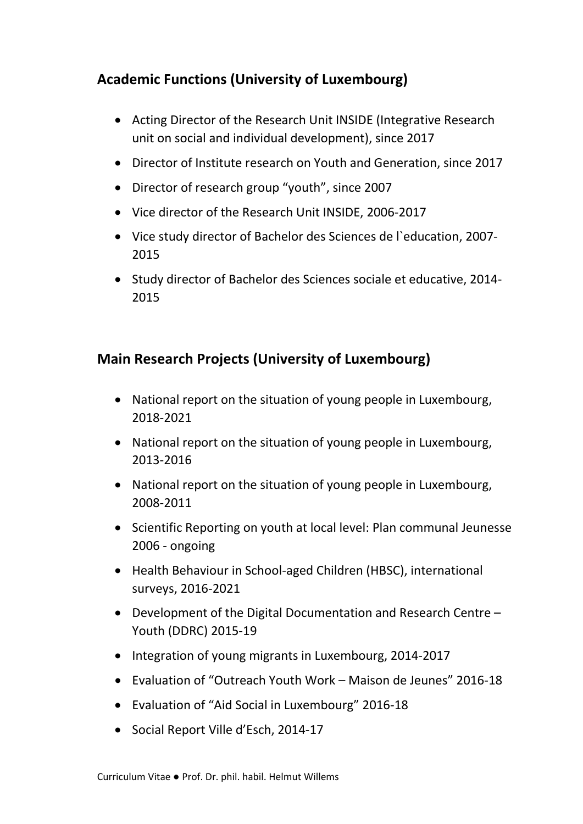### **Academic Functions (University of Luxembourg)**

- Acting Director of the Research Unit INSIDE (Integrative Research unit on social and individual development), since 2017
- Director of Institute research on Youth and Generation, since 2017
- Director of research group "youth", since 2007
- Vice director of the Research Unit INSIDE, 2006-2017
- Vice study director of Bachelor des Sciences de l`education, 2007- 2015
- Study director of Bachelor des Sciences sociale et educative, 2014- 2015

#### **Main Research Projects (University of Luxembourg)**

- National report on the situation of young people in Luxembourg, 2018-2021
- National report on the situation of young people in Luxembourg, 2013-2016
- National report on the situation of young people in Luxembourg, 2008-2011
- Scientific Reporting on youth at local level: Plan communal Jeunesse 2006 - ongoing
- Health Behaviour in School-aged Children (HBSC), international surveys, 2016-2021
- Development of the Digital Documentation and Research Centre Youth (DDRC) 2015-19
- Integration of young migrants in Luxembourg, 2014-2017
- Evaluation of "Outreach Youth Work Maison de Jeunes" 2016-18
- Evaluation of "Aid Social in Luxembourg" 2016-18
- Social Report Ville d'Esch, 2014-17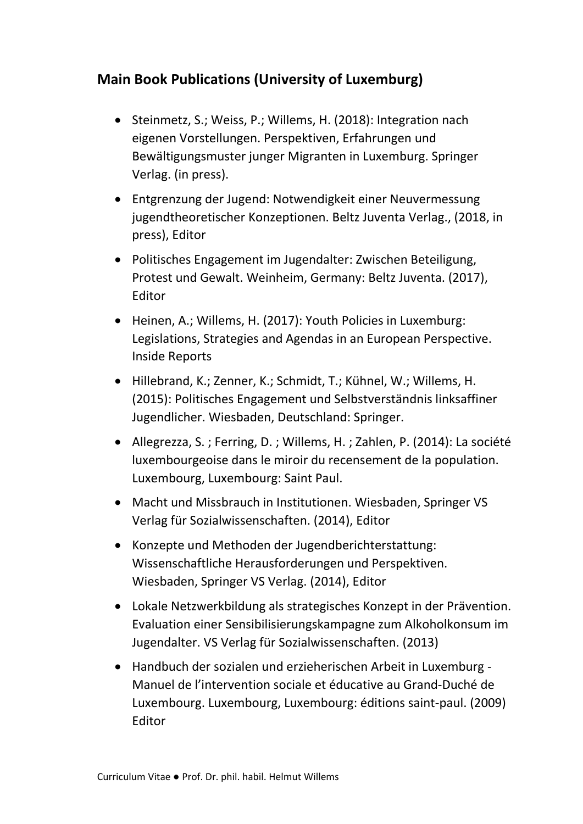#### **Main Book Publications (University of Luxemburg)**

- Steinmetz, S.; Weiss, P.; Willems, H. (2018): Integration nach eigenen Vorstellungen. Perspektiven, Erfahrungen und Bewältigungsmuster junger Migranten in Luxemburg. Springer Verlag. (in press).
- Entgrenzung der Jugend: Notwendigkeit einer Neuvermessung jugendtheoretischer Konzeptionen. Beltz Juventa Verlag., (2018, in press), Editor
- Politisches Engagement im Jugendalter: Zwischen Beteiligung, Protest und Gewalt. Weinheim, Germany: Beltz Juventa. (2017), Editor
- Heinen, A.; Willems, H. (2017): Youth Policies in Luxemburg: Legislations, Strategies and Agendas in an European Perspective. Inside Reports
- Hillebrand, K.; Zenner, K.; Schmidt, T.; Kühnel, W.; Willems, H. (2015): Politisches Engagement und Selbstverständnis linksaffiner Jugendlicher. Wiesbaden, Deutschland: Springer.
- Allegrezza, S. ; Ferring, D. ; Willems, H. ; Zahlen, P. (2014): La société luxembourgeoise dans le miroir du recensement de la population. Luxembourg, Luxembourg: Saint Paul.
- Macht und Missbrauch in Institutionen. Wiesbaden, Springer VS Verlag für Sozialwissenschaften. (2014), Editor
- Konzepte und Methoden der Jugendberichterstattung: Wissenschaftliche Herausforderungen und Perspektiven. Wiesbaden, Springer VS Verlag. (2014), Editor
- Lokale Netzwerkbildung als strategisches Konzept in der Prävention. Evaluation einer Sensibilisierungskampagne zum Alkoholkonsum im Jugendalter. VS Verlag für Sozialwissenschaften. (2013)
- Handbuch der sozialen und erzieherischen Arbeit in Luxemburg Manuel de l'intervention sociale et éducative au Grand-Duché de Luxembourg. Luxembourg, Luxembourg: éditions saint-paul. (2009) Editor